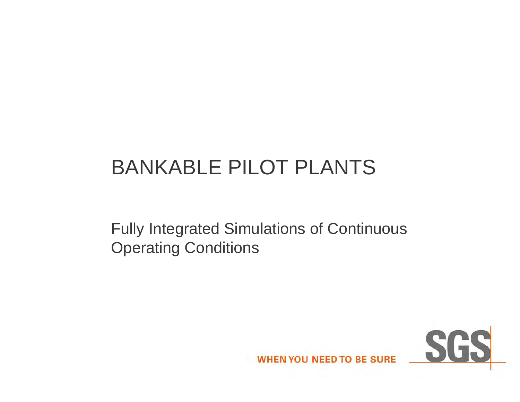## BANKABLE PILOT PLANTS

Fully Integrated Simulations of Continuous Operating Conditions

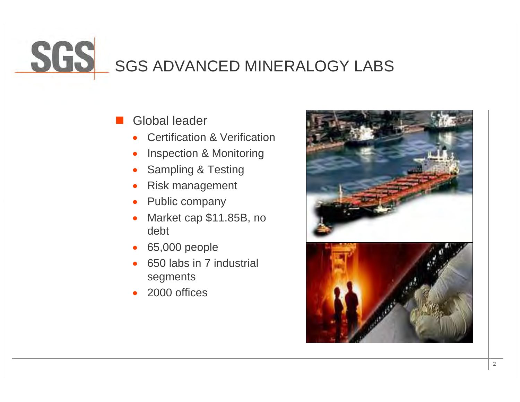# SGS ADVANCED MINERALOGY LABS

### Global leader

- $\bullet$ Certification & Verification
- $\bullet$ Inspection & Monitoring
- 0 Sampling & Testing
- $\bullet$ Risk management
- $\bullet$ Public company
- $\bullet$  Market cap \$11.85B, no debt
- 0 65,000 people
- 0 650 labs in 7 industrial segments
- 0 2000 offices

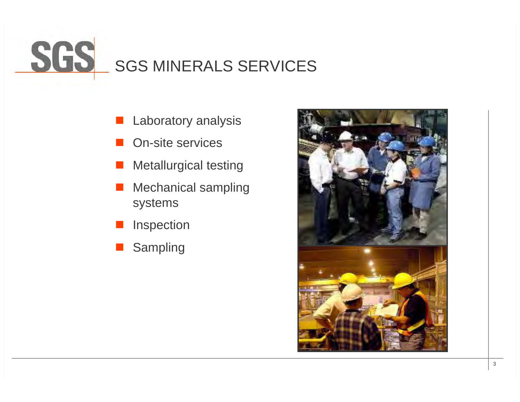## SGS MINERALS SERVICES

- Laboratory analysis
- On-site services
- a. Metallurgical testing
- Mechanical sampling systems
- Inspection
- **Service Service** Sampling

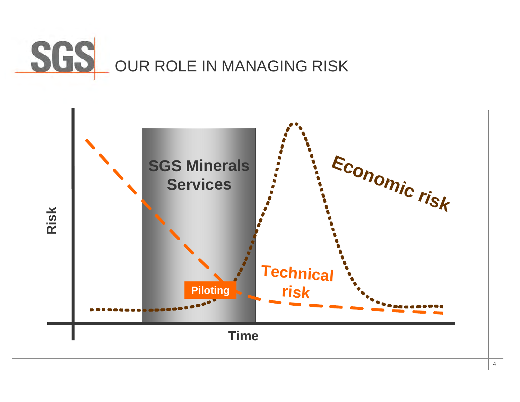

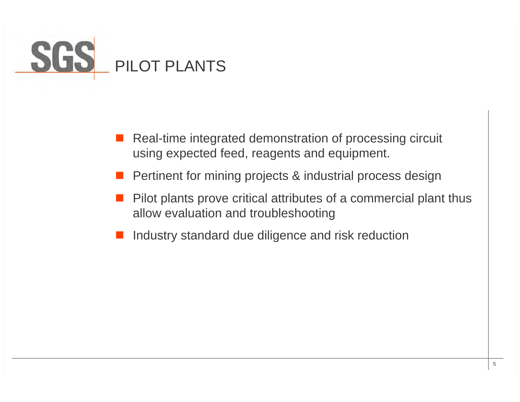

- Real-time integrated demonstration of processing circuit using expected feed, reagents and equipment.
- Pertinent for mining projects & industrial process design
- Pilot plants prove critical attributes of a commercial plant thus allow evaluation and troubleshooting
- Industry standard due diligence and risk reduction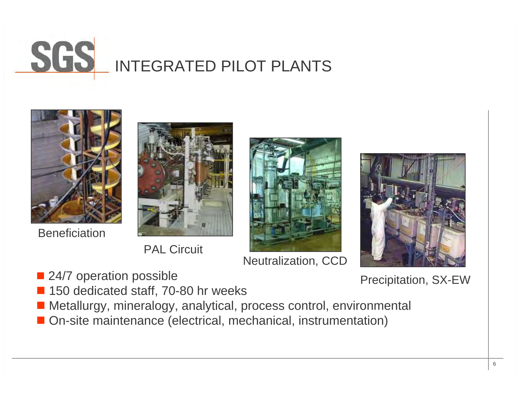



**PAL Circuit** 



Neutralization, CCD



■ 24/7 operation possible Precipitation, SX-EW

- **Service Service** 150 dedicated staff, 70-80 hr weeks
- Metallurgy, mineralogy, analytical, process control, environmental
- On-site maintenance (electrical, mechanical, instrumentation)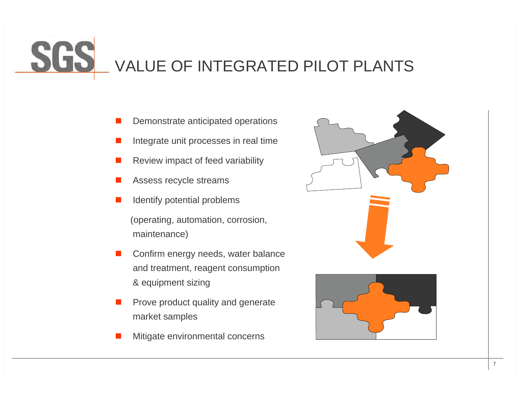# VALUE OF INTEGRATED PILOT PLANTS

- П Demonstrate anticipated operations
- $\Box$ Integrate unit processes in real time
- П Review impact of feed variability
- П Assess recycle streams
- Identify potential problems

(operating, automation, corrosion, maintenance)

- П Confirm energy needs, water balance and treatment, reagent consumption & equipment sizing
- П Prove product quality and generate market samples
- П Mitigate environmental concerns



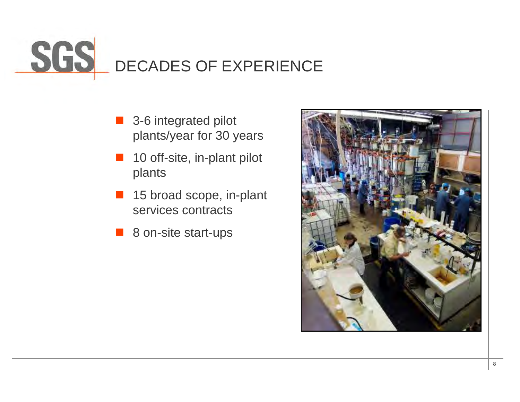# DECADES OF EXPERIENCE

- 3-6 integrated pilot plants/year for 30 years
- **Tale**  10 off-site, in-plant pilot plants
- **The Contract of the Contract of the Contract of the Contract of the Contract of the Contract of the Contract o**  15 broad scope, in-plant services contracts
- 8 on-site start-ups

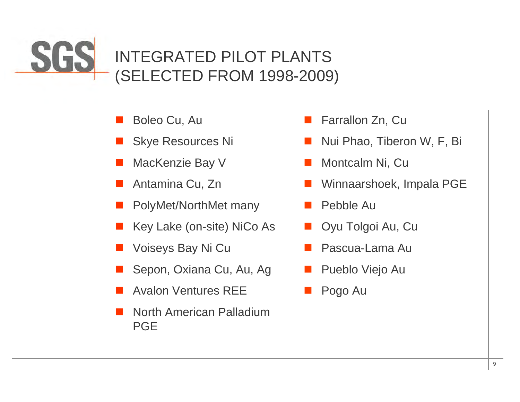### SGS INTEGRATED PILOT PLANTS (SELECTED FROM 1998-2009)

- $\Box$ Boleo Cu, Au
- $\Box$ Skye Resources Ni
- П MacKenzie Bay V
- $\Box$ Antamina Cu, Zn
- $\Box$ PolyMet/NorthMet many
- П Key Lake (on-site) NiCo As
- $\Box$ Voiseys Bay Ni Cu
- $\Box$ Sepon, Oxiana Cu, Au, Ag
- П Avalon Ventures REE
- $\Box$  North American Palladium PGE
- $\mathbb{R}^n$ Farrallon Zn, Cu
- $\mathbb{R}^n$ Nui Phao, Tiberon W, F, Bi
- B Montcalm Ni, Cu
- $\mathbb{R}^n$ Winnaarshoek, Impala PGE
- Pebble Au
- B Oyu Tolgoi Au, Cu
- $\mathbb{R}^n$ Pascua-Lama Au
- $\mathbb{R}^n$ Pueblo Viejo Au
- B Pogo Au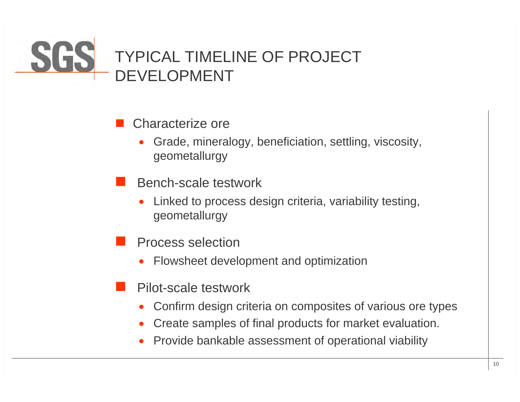### SGS **TYPICAL TIMELINE OF PROJECT** DEVELOPMENT

#### $\mathbb{R}^3$ Characterize ore

- 0 Grade, mineralogy, beneficiation, settling, viscosity, geometallurgy
- Bench-scale testwork
	- 0 Linked to process design criteria, variability testing, geometallurgy
- T. Process selection
	- 0 Flowsheet development and optimization
- T. Pilot-scale testwork
	- 0 Confirm design criteria on composites of various ore types
	- 0 Create samples of final products for market evaluation.
	- 0 Provide bankable assessment of operational viability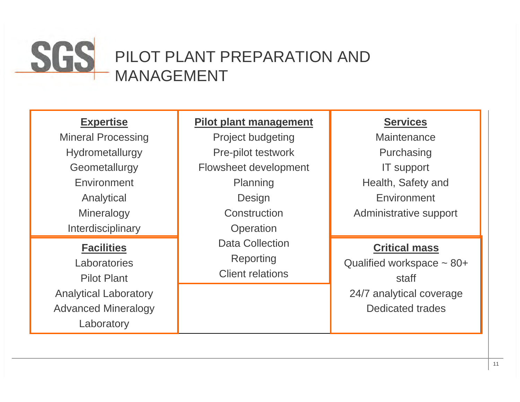

### **Expertise**

Mineral Processing Hydrometallurgy **Geometallurgy Environment** Analytical **Mineralogy** Interdisciplinary

### **Facilities**

**Laboratories** Pilot PlantAnalytical Laboratory Advanced Mineralogy Laboratory

### **Pilot plant management**

Project budgeting Pre-pilot testwork Flowsheet development Planning Design **Construction Operation** Data Collection**Reporting** Client relations

### **Services**

**Maintenance Purchasing** IT support Health, Safety and EnvironmentAdministrative support

### **Critical mass**

Qualified workspace ~ 80+ staff24/7 analytical coverage Dedicated trades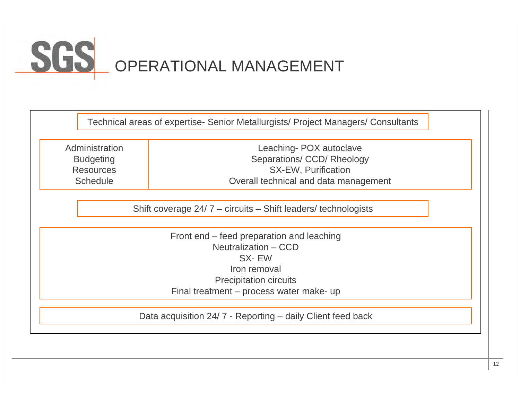## OPERATIONAL MANAGEMENT

|                                                                 | Technical areas of expertise- Senior Metallurgists/ Project Managers/ Consultants |  |
|-----------------------------------------------------------------|-----------------------------------------------------------------------------------|--|
| Administration                                                  | Leaching-POX autoclave                                                            |  |
| <b>Budgeting</b>                                                | Separations/ CCD/ Rheology                                                        |  |
| <b>Resources</b>                                                | <b>SX-EW, Purification</b>                                                        |  |
| <b>Schedule</b>                                                 | Overall technical and data management                                             |  |
|                                                                 |                                                                                   |  |
| Shift coverage $24/7$ – circuits – Shift leaders/ technologists |                                                                                   |  |
|                                                                 | Front end – feed preparation and leaching                                         |  |
| Neutralization - CCD                                            |                                                                                   |  |
| SX-EW                                                           |                                                                                   |  |
| Iron removal                                                    |                                                                                   |  |
| <b>Precipitation circuits</b>                                   |                                                                                   |  |
|                                                                 | Final treatment – process water make- up                                          |  |
|                                                                 |                                                                                   |  |
|                                                                 | Data acquisition 24/7 - Reporting – daily Client feed back                        |  |
|                                                                 |                                                                                   |  |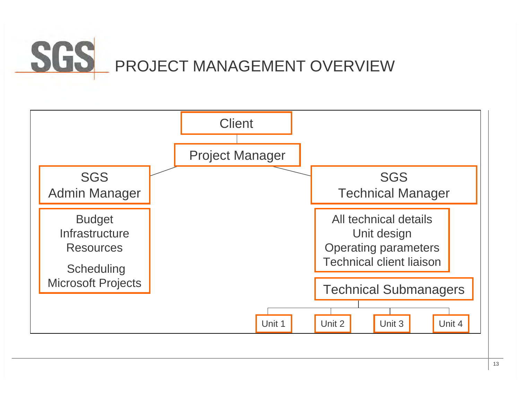### SGS PROJECT MANAGEMENT OVERVIEW

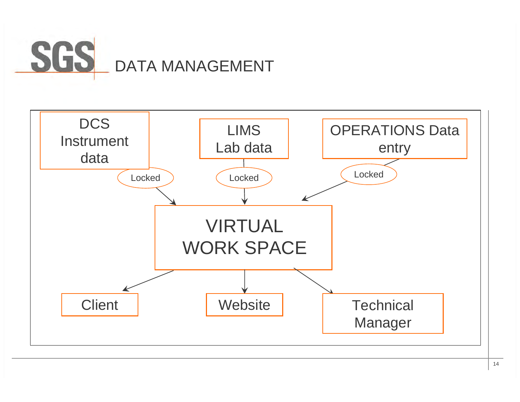

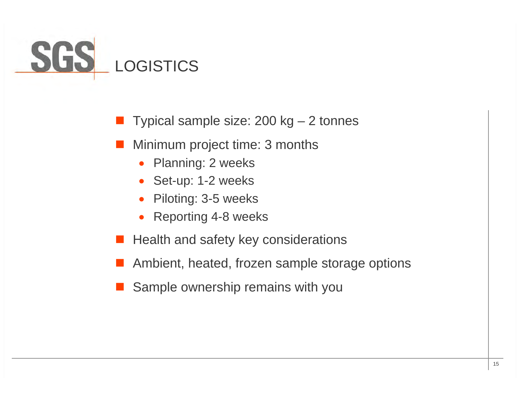

 $\mathbb{R}^3$ Typical sample size: 200 kg – 2 tonnes

- $\mathbb{R}^3$  Minimum project time: 3 months
	- $\bullet$ Planning: 2 weeks
	- $\bullet$ Set-up: 1-2 weeks
	- $\bullet$ Piloting: 3-5 weeks
	- $\bullet$ Reporting 4-8 weeks
- Health and safety key considerations
- Ambient, heated, frozen sample storage options
- Sample ownership remains with you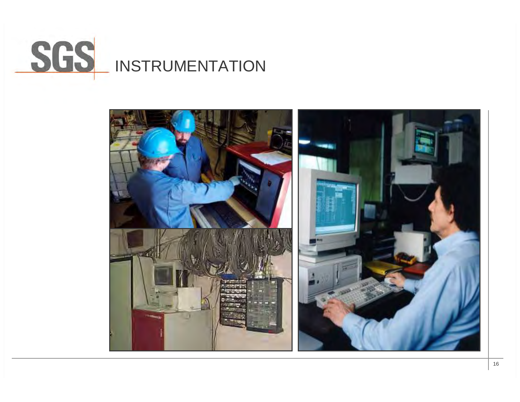

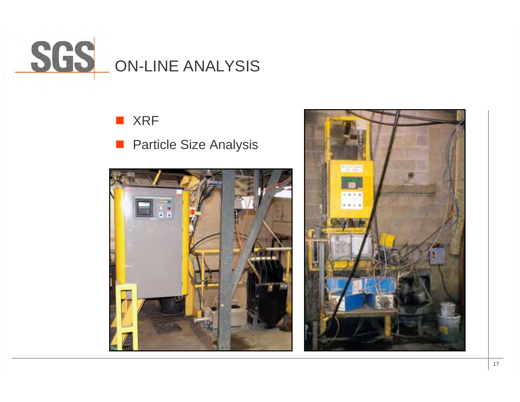

### **N** XRF

 $\mathbb{R}^n$ Particle Size Analysis



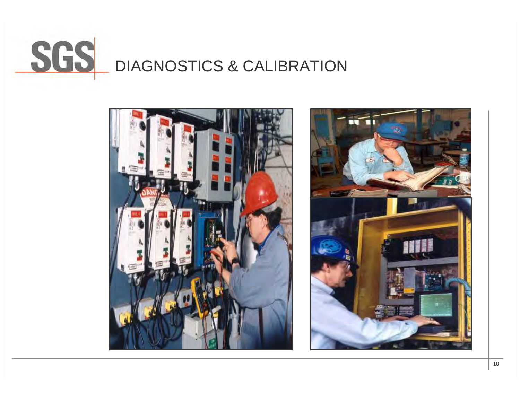

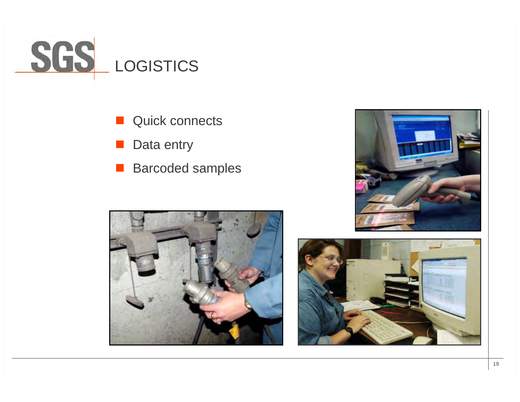

- **The State** Quick connects
- $\mathbb{R}^n$ Data entry
- **Barcoded samples**





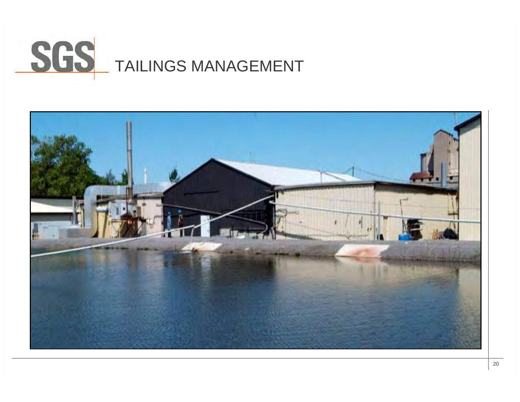# SGS TAILINGS MANAGEMENT

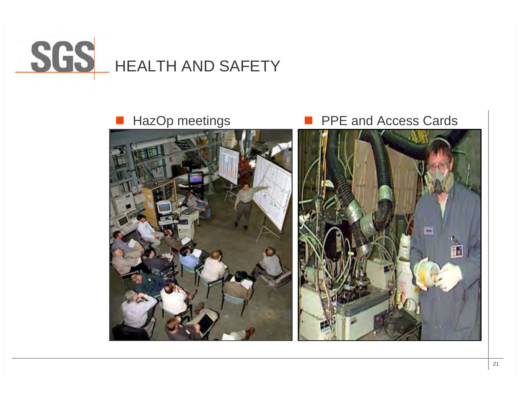





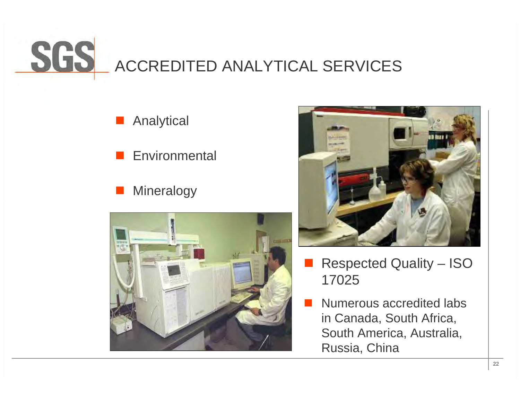

#### Analytical

- $\mathbb{R}^3$ **Environmental**
- $\mathbb{R}^3$ Mineralogy





- Т, Respected Quality – ISO 17025
- Numerous accredited labs in Canada, South Africa, South America, Australia, Russia, China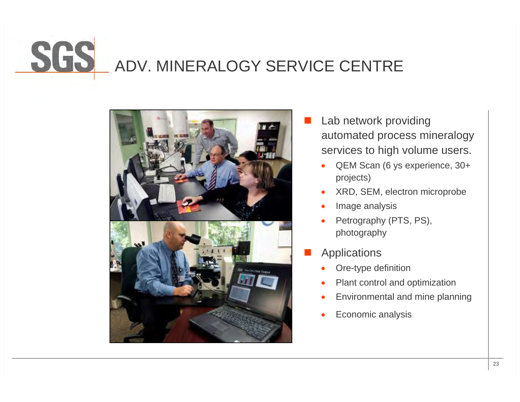## ADV. MINERALOGY SERVICE CENTRE



- T. Lab network providing automated process mineralogy services to high volume users.
	- 0 QEM Scan (6 ys experience, 30+ projects)
	- $\bullet$ XRD, SEM, electron microprobe
	- $\bullet$ Image analysis
	- $\bullet$  Petrography (PTS, PS), photography
- T. **Applications** 
	- $\bullet$ Ore-type definition
	- $\bullet$ Plant control and optimization
	- 0 Environmental and mine planning
	- Economic analysis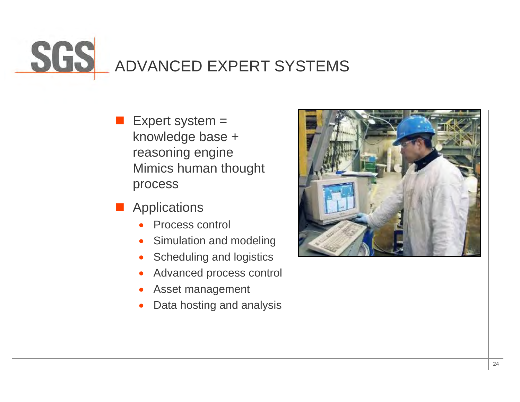## ADVANCED EXPERT SYSTEMS

- $\mathbb{R}^3$  Expert system = knowledge base + reasoning engine Mimics human thought process
- $\mathbb{R}^3$ **Applications** 
	- 0 Process control
	- 0 Simulation and modeling
	- 0 Scheduling and logistics
	- 0 Advanced process control
	- 0 Asset management
	- 0 Data hosting and analysis

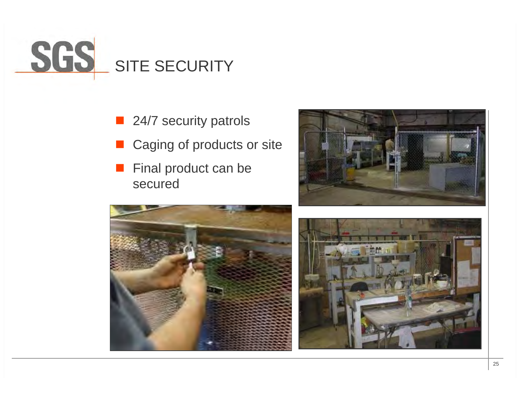

- 24/7 security patrols
- $\mathcal{L}(\mathcal{A})$ Caging of products or site
- $\mathcal{L}^{\text{max}}$  Final product can be secured





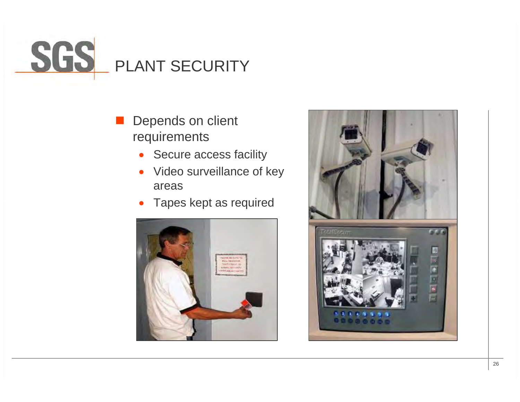# PLANT SECURITY

### $\mathbb{R}^3$  Depends on client requirements

- $\bullet$ Secure access facility
- $\bullet$  Video surveillance of key areas
- $\bullet$ Tapes kept as required



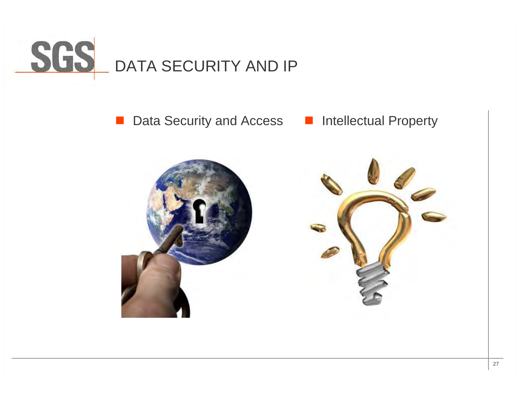

 $\mathcal{L}^{\text{max}}$ ■ Data Security and Access ■ Intellectual Property

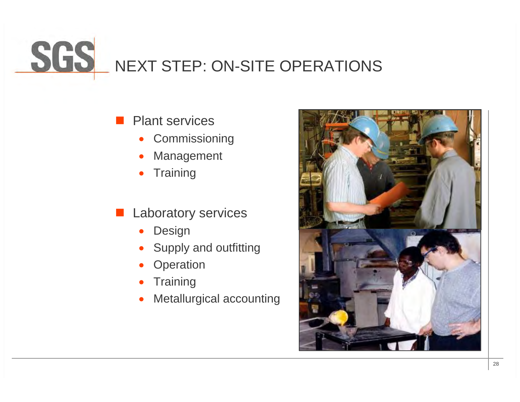## NEXT STEP: ON-SITE OPERATIONS

#### $\mathcal{L}^{\text{max}}_{\text{max}}$ Plant services

- $\bullet$ Commissioning
- 0 Management
- 0 **Training**
- Laboratory services
	- 0 Design
	- 0 Supply and outfitting
	- 0 **Operation**
	- 0 **Training**
	- 0 Metallurgical accounting

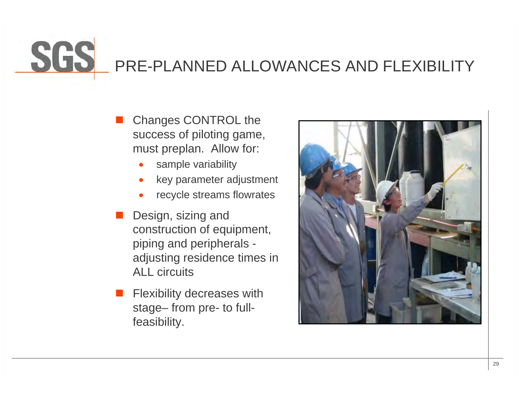# PRE-PLANNED ALLOWANCES AND FLEXIBILITY

- $\Box$  Changes CONTROL the success of piloting game, must preplan. Allow for:
	- 0 sample variability
	- 0 key parameter adjustment
	- 0 recycle streams flowrates
- $\Box$  Design, sizing and construction of equipment, piping and peripherals adjusting residence times in ALL circuits
- П Flexibility decreases with stage– from pre- to fullfeasibility.

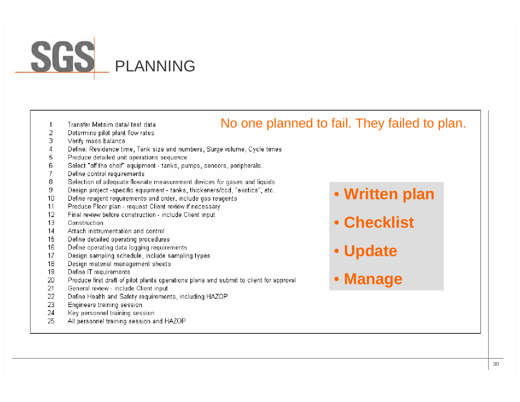# PLANNING

- $\mathbf{1}$ Transfer Metsim data/ test data
- 2 Determine pilot plant flow rates
- 3 Verify mass balance
- $\overline{4}$ Define: Residence time, Tank size and numbers, Surge volume, Cycle times
- 5 Produce detailed unit operations sequence.
- 6 Select "off the shelf" equipment - tanks, pumps, sensors, peripherals..
- 7 Define control requirements
- 8 Selection of adequate flowrate measurement devices for gases and liquids
- Design project -specific equipment tanks, thickeners/ccd, "exotics", etc. 9
- Define reagent requirements and order, include gas reagents  $10<sup>1</sup>$
- Produce Floor plan request Client review if necessary 11
- $12$ Final review before construction - include Client input
- $13<sup>°</sup>$ Construction
- $14$ Attach instrumentation and control
- Define detailed operating procedures 15
- Define operating data logging requirements 16
- Design sampling schedule, include sampling types 17
- 18 Design material management sheets
- 19 Define IT requirements
- Produce first draft of pilot plants operations plans and submit to client for approval 20
- 21 General review - include Client input
- Define Health and Safety requirements, including HAZOP 22
- 23 Engineers training session
- 24 Key personnel training session
- 25 All personnel training session and HAZOP

• **Written plan**

- **Checklist**
- **Update**

No one planned to fail. They failed to plan.

• **Manage**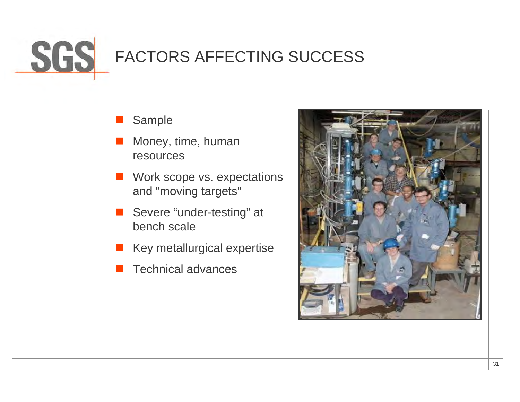

- $\Box$ Sample
- $\Box$  Money, time, human resources
- $\Box$  Work scope vs. expectations and "moving targets"
- $\Box$  Severe "under-testing" at bench scale
- **Key metallurgical expertise**
- П Technical advances